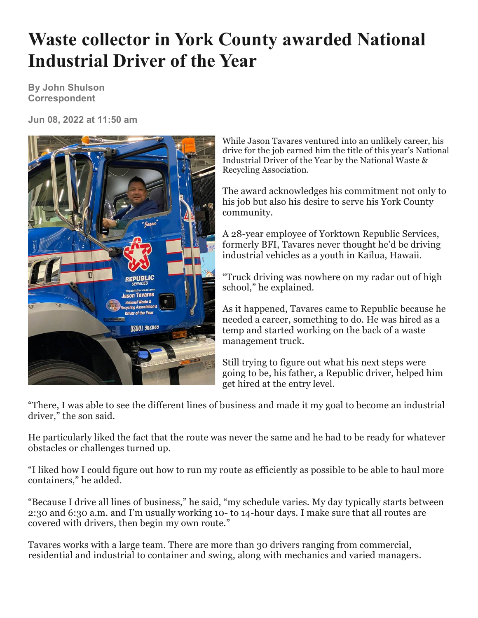## **Waste collector in York County awarded National Industrial Driver of the Year**

**By John Shulson Correspondent**

**Jun 08, 2022 at 11:50 am**



While Jason Tavares ventured into an unlikely career, his drive for the job earned him the title of this year's National Industrial Driver of the Year by the National Waste & Recycling Association.

The award acknowledges his commitment not only to his job but also his desire to serve his York County community.

A 28-year employee of Yorktown Republic Services, formerly BFI, Tavares never thought he'd be driving industrial vehicles as a youth in Kailua, Hawaii.

"Truck driving was nowhere on my radar out of high school," he explained.

As it happened, Tavares came to Republic because he needed a career, something to do. He was hired as a temp and started working on the back of a waste management truck.

Still trying to figure out what his next steps were going to be, his father, a Republic driver, helped him get hired at the entry level.

"There, I was able to see the different lines of business and made it my goal to become an industrial driver," the son said.

He particularly liked the fact that the route was never the same and he had to be ready for whatever obstacles or challenges turned up.

"I liked how I could figure out how to run my route as efficiently as possible to be able to haul more containers," he added.

"Because I drive all lines of business," he said, "my schedule varies. My day typically starts between 2:30 and 6:30 a.m. and I'm usually working 10- to 14-hour days. I make sure that all routes are covered with drivers, then begin my own route."

Tavares works with a large team. There are more than 30 drivers ranging from commercial, residential and industrial to container and swing, along with mechanics and varied managers.